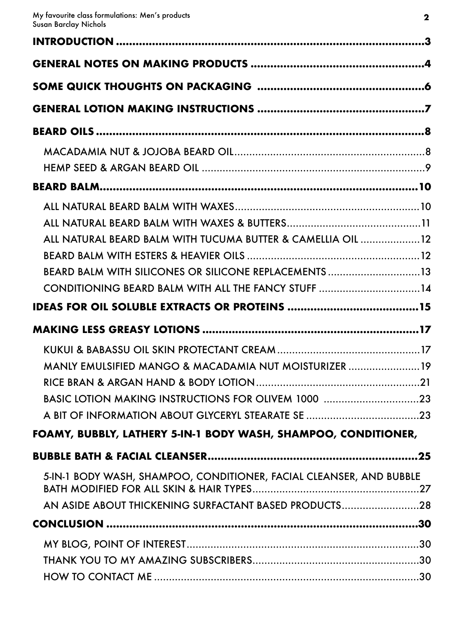| ALL NATURAL BEARD BALM WITH TUCUMA BUTTER & CAMELLIA OIL 12<br>BEARD BALM WITH SILICONES OR SILICONE REPLACEMENTS 13 |  |
|----------------------------------------------------------------------------------------------------------------------|--|
| CONDITIONING BEARD BALM WITH ALL THE FANCY STUFF 14                                                                  |  |
|                                                                                                                      |  |
|                                                                                                                      |  |
|                                                                                                                      |  |
| MANLY EMULSIFIED MANGO & MACADAMIA NUT MOISTURIZER 19<br>BASIC LOTION MAKING INSTRUCTIONS FOR OLIVEM 1000 23         |  |
| FOAMY, BUBBLY, LATHERY 5-IN-1 BODY WASH, SHAMPOO, CONDITIONER,                                                       |  |
| 5-IN-1 BODY WASH, SHAMPOO, CONDITIONER, FACIAL CLEANSER, AND BUBBLE                                                  |  |
| AN ASIDE ABOUT THICKENING SURFACTANT BASED PRODUCTS28                                                                |  |
|                                                                                                                      |  |